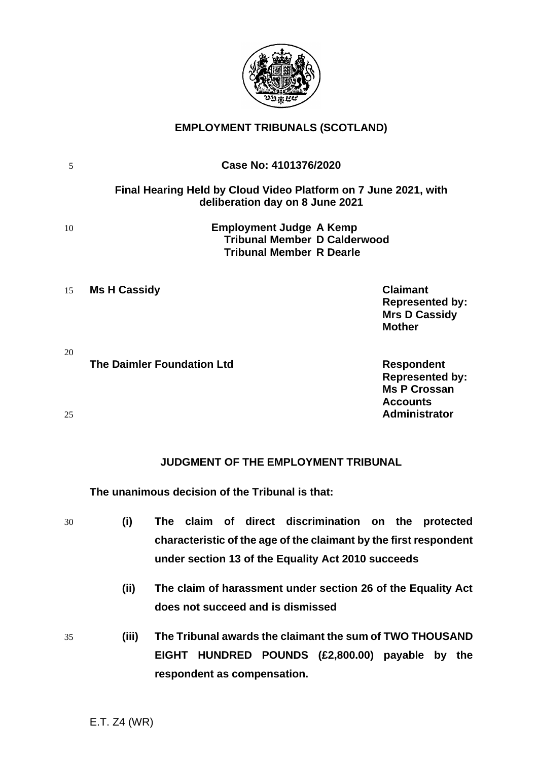

# **EMPLOYMENT TRIBUNALS (SCOTLAND)**

| 5        | Case No: 4101376/2020                                                                                                                              |
|----------|----------------------------------------------------------------------------------------------------------------------------------------------------|
|          | Final Hearing Held by Cloud Video Platform on 7 June 2021, with<br>deliberation day on 8 June 2021                                                 |
| 10       | <b>Employment Judge A Kemp</b><br><b>Tribunal Member D Calderwood</b><br><b>Tribunal Member R Dearle</b>                                           |
| 15       | <b>Claimant</b><br><b>Ms H Cassidy</b><br><b>Represented by:</b><br><b>Mrs D Cassidy</b><br><b>Mother</b>                                          |
| 20<br>25 | <b>The Daimler Foundation Ltd</b><br><b>Respondent</b><br><b>Represented by:</b><br><b>Ms P Crossan</b><br><b>Accounts</b><br><b>Administrator</b> |
|          | JUDGMENT OF THE EMPLOYMENT TRIBUNAL<br>The unanimous decision of the Tribunal is that:                                                             |
| 30       | claim of direct discrimination<br>(i)<br>The<br>the<br>protected<br>on                                                                             |

- **characteristic of the age of the claimant by the first respondent under section 13 of the Equality Act 2010 succeeds**
	- **(ii) The claim of harassment under section 26 of the Equality Act does not succeed and is dismissed**
- 35 **(iii) The Tribunal awards the claimant the sum of TWO THOUSAND EIGHT HUNDRED POUNDS (£2,800.00) payable by the respondent as compensation.**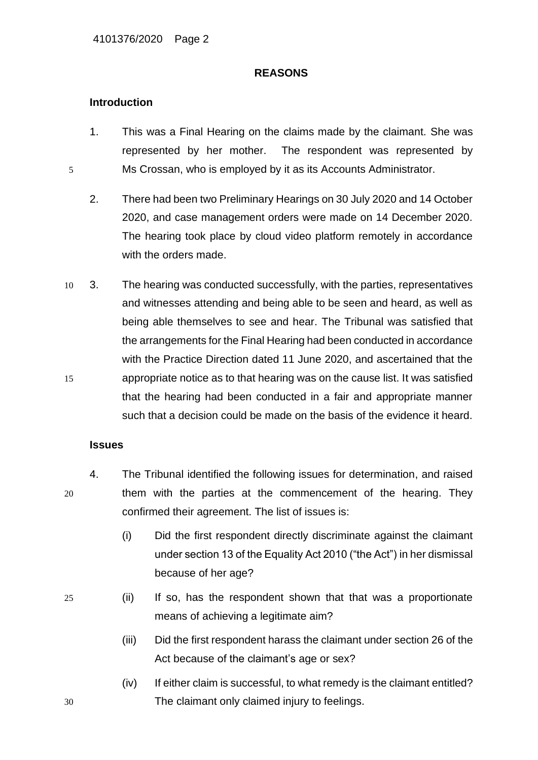## **REASONS**

## **Introduction**

- 1. This was a Final Hearing on the claims made by the claimant. She was represented by her mother. The respondent was represented by 5 Ms Crossan, who is employed by it as its Accounts Administrator.
	- 2. There had been two Preliminary Hearings on 30 July 2020 and 14 October 2020, and case management orders were made on 14 December 2020. The hearing took place by cloud video platform remotely in accordance with the orders made.
- 10 3. The hearing was conducted successfully, with the parties, representatives and witnesses attending and being able to be seen and heard, as well as being able themselves to see and hear. The Tribunal was satisfied that the arrangements for the Final Hearing had been conducted in accordance with the Practice Direction dated 11 June 2020, and ascertained that the 15 appropriate notice as to that hearing was on the cause list. It was satisfied that the hearing had been conducted in a fair and appropriate manner such that a decision could be made on the basis of the evidence it heard.

## **Issues**

- 4. The Tribunal identified the following issues for determination, and raised 20 them with the parties at the commencement of the hearing. They confirmed their agreement. The list of issues is:
	- (i) Did the first respondent directly discriminate against the claimant under section 13 of the Equality Act 2010 ("the Act") in her dismissal because of her age?
- 
- 25 (ii) If so, has the respondent shown that that was a proportionate means of achieving a legitimate aim?
	- (iii) Did the first respondent harass the claimant under section 26 of the Act because of the claimant's age or sex?
- (iv) If either claim is successful, to what remedy is the claimant entitled? 30 The claimant only claimed injury to feelings.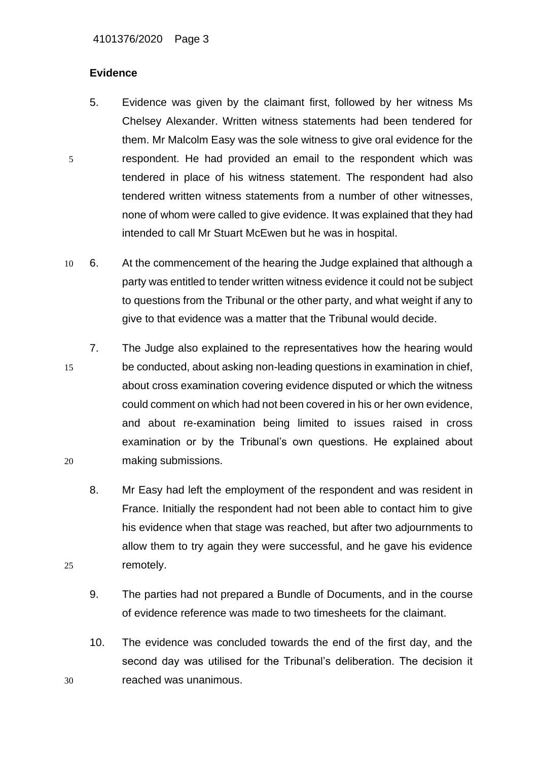## **Evidence**

- 5. Evidence was given by the claimant first, followed by her witness Ms Chelsey Alexander. Written witness statements had been tendered for them. Mr Malcolm Easy was the sole witness to give oral evidence for the 5 respondent. He had provided an email to the respondent which was tendered in place of his witness statement. The respondent had also tendered written witness statements from a number of other witnesses, none of whom were called to give evidence. It was explained that they had intended to call Mr Stuart McEwen but he was in hospital.
- 10 6. At the commencement of the hearing the Judge explained that although a party was entitled to tender written witness evidence it could not be subject to questions from the Tribunal or the other party, and what weight if any to give to that evidence was a matter that the Tribunal would decide.
- 7. The Judge also explained to the representatives how the hearing would 15 be conducted, about asking non-leading questions in examination in chief, about cross examination covering evidence disputed or which the witness could comment on which had not been covered in his or her own evidence, and about re-examination being limited to issues raised in cross examination or by the Tribunal's own questions. He explained about 20 making submissions.
- 8. Mr Easy had left the employment of the respondent and was resident in France. Initially the respondent had not been able to contact him to give his evidence when that stage was reached, but after two adjournments to allow them to try again they were successful, and he gave his evidence 25 remotely.
	- 9. The parties had not prepared a Bundle of Documents, and in the course of evidence reference was made to two timesheets for the claimant.
- 10. The evidence was concluded towards the end of the first day, and the second day was utilised for the Tribunal's deliberation. The decision it 30 reached was unanimous.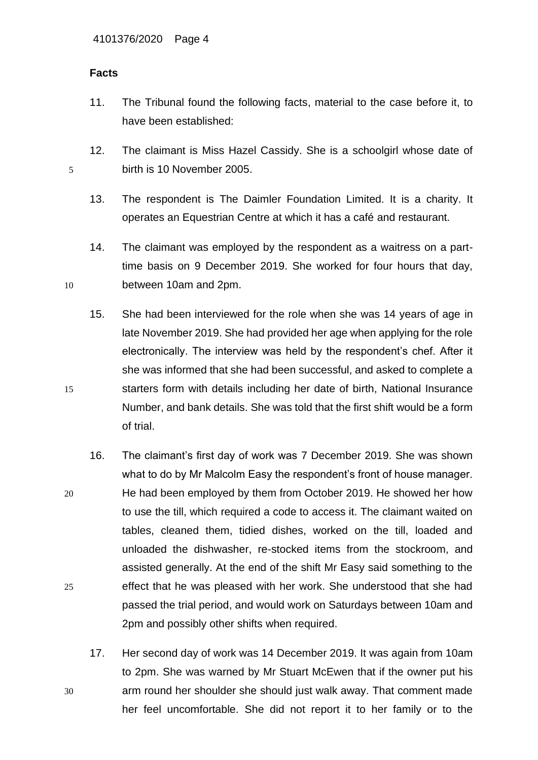## **Facts**

11. The Tribunal found the following facts, material to the case before it, to have been established:

12. The claimant is Miss Hazel Cassidy. She is a schoolgirl whose date of 5 birth is 10 November 2005.

- 13. The respondent is The Daimler Foundation Limited. It is a charity. It operates an Equestrian Centre at which it has a café and restaurant.
- 14. The claimant was employed by the respondent as a waitress on a parttime basis on 9 December 2019. She worked for four hours that day, 10 between 10am and 2pm.
- 15. She had been interviewed for the role when she was 14 years of age in late November 2019. She had provided her age when applying for the role electronically. The interview was held by the respondent's chef. After it she was informed that she had been successful, and asked to complete a 15 starters form with details including her date of birth, National Insurance Number, and bank details. She was told that the first shift would be a form of trial.
- 16. The claimant's first day of work was 7 December 2019. She was shown what to do by Mr Malcolm Easy the respondent's front of house manager. 20 He had been employed by them from October 2019. He showed her how to use the till, which required a code to access it. The claimant waited on tables, cleaned them, tidied dishes, worked on the till, loaded and unloaded the dishwasher, re-stocked items from the stockroom, and assisted generally. At the end of the shift Mr Easy said something to the 25 effect that he was pleased with her work. She understood that she had passed the trial period, and would work on Saturdays between 10am and 2pm and possibly other shifts when required.
- 17. Her second day of work was 14 December 2019. It was again from 10am to 2pm. She was warned by Mr Stuart McEwen that if the owner put his 30 arm round her shoulder she should just walk away. That comment made her feel uncomfortable. She did not report it to her family or to the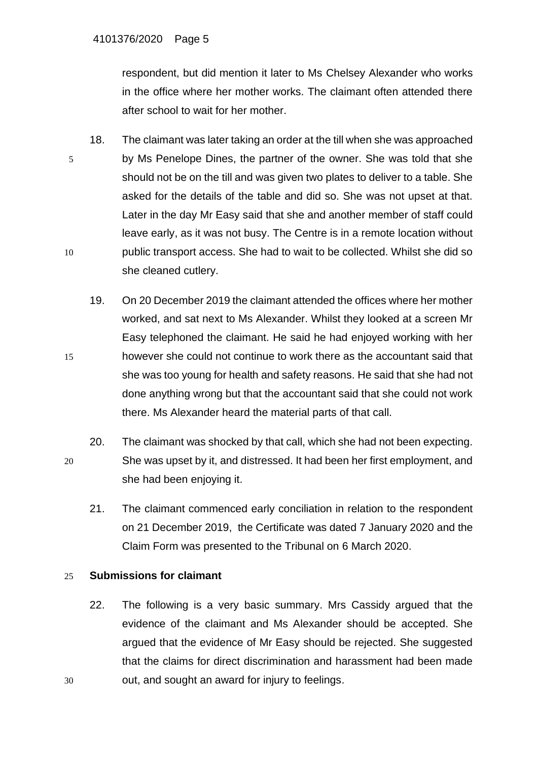respondent, but did mention it later to Ms Chelsey Alexander who works in the office where her mother works. The claimant often attended there after school to wait for her mother.

- 18. The claimant was later taking an order at the till when she was approached 5 by Ms Penelope Dines, the partner of the owner. She was told that she should not be on the till and was given two plates to deliver to a table. She asked for the details of the table and did so. She was not upset at that. Later in the day Mr Easy said that she and another member of staff could leave early, as it was not busy. The Centre is in a remote location without 10 public transport access. She had to wait to be collected. Whilst she did so she cleaned cutlery.
- 19. On 20 December 2019 the claimant attended the offices where her mother worked, and sat next to Ms Alexander. Whilst they looked at a screen Mr Easy telephoned the claimant. He said he had enjoyed working with her 15 however she could not continue to work there as the accountant said that she was too young for health and safety reasons. He said that she had not done anything wrong but that the accountant said that she could not work there. Ms Alexander heard the material parts of that call.
- 20. The claimant was shocked by that call, which she had not been expecting. 20 She was upset by it, and distressed. It had been her first employment, and she had been enjoying it.
	- 21. The claimant commenced early conciliation in relation to the respondent on 21 December 2019, the Certificate was dated 7 January 2020 and the Claim Form was presented to the Tribunal on 6 March 2020.

## 25 **Submissions for claimant**

22. The following is a very basic summary. Mrs Cassidy argued that the evidence of the claimant and Ms Alexander should be accepted. She argued that the evidence of Mr Easy should be rejected. She suggested that the claims for direct discrimination and harassment had been made 30 out, and sought an award for injury to feelings.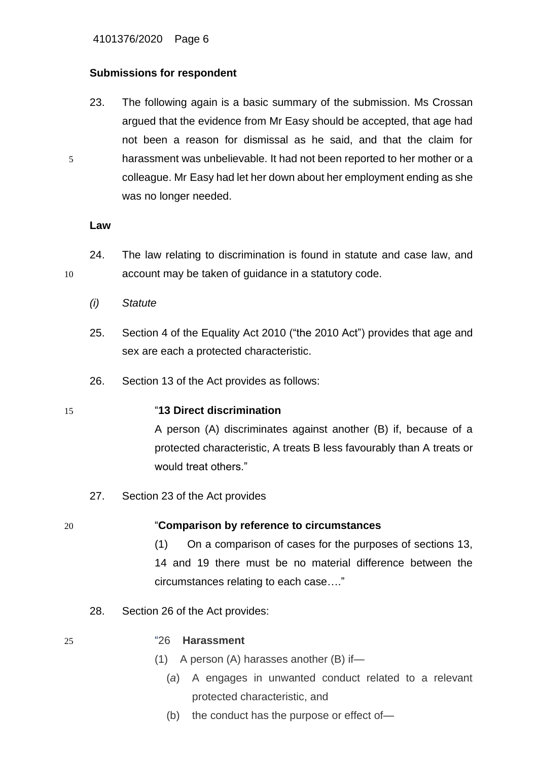## **Submissions for respondent**

23. The following again is a basic summary of the submission. Ms Crossan argued that the evidence from Mr Easy should be accepted, that age had not been a reason for dismissal as he said, and that the claim for 5 harassment was unbelievable. It had not been reported to her mother or a colleague. Mr Easy had let her down about her employment ending as she was no longer needed.

## **Law**

- 24. The law relating to discrimination is found in statute and case law, and 10 account may be taken of guidance in a statutory code.
	- *(i) Statute*
	- 25. Section 4 of the Equality Act 2010 ("the 2010 Act") provides that age and sex are each a protected characteristic.
	- 26. Section 13 of the Act provides as follows:

## 15 "**13 Direct discrimination**

A person (A) discriminates against another (B) if, because of a protected characteristic, A treats B less favourably than A treats or would treat others."

27. Section 23 of the Act provides

# 20 "**Comparison by reference to circumstances**

(1) On a comparison of cases for the purposes of sections 13, 14 and 19 there must be no material difference between the circumstances relating to each case…."

28. Section 26 of the Act provides:

## 25 "26 **Harassment**

- (1) A person (A) harasses another (B) if—
	- (*a*) A engages in unwanted conduct related to a relevant protected characteristic, and
	- (b) the conduct has the purpose or effect of—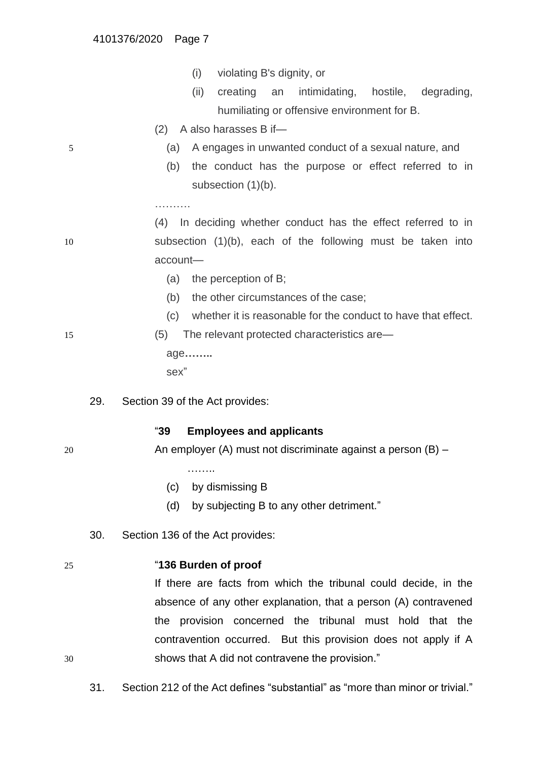- (i) violating B's dignity, or
- (ii) creating an intimidating, hostile, degrading, humiliating or offensive environment for B.
- (2) A also harasses B if—
- 5 (a) A engages in unwanted conduct of a sexual nature, and
	- (b) the conduct has the purpose or effect referred to in subsection (1)(b).

(4) In deciding whether conduct has the effect referred to in 10 subsection (1)(b), each of the following must be taken into account—

- (a) the perception of B;
- (b) the other circumstances of the case;
- (c) whether it is reasonable for the conduct to have that effect.

15 (5) The relevant protected characteristics are—

age**……..**

……………

29. Section 39 of the Act provides:

sex"

## "**39 Employees and applicants**

20 An employer (A) must not discriminate against a person (B) –

- ………
- (c) by dismissing B
- (d) by subjecting B to any other detriment."
- 30. Section 136 of the Act provides:

## 25 "**136 Burden of proof**

If there are facts from which the tribunal could decide, in the absence of any other explanation, that a person (A) contravened the provision concerned the tribunal must hold that the contravention occurred. But this provision does not apply if A 30 shows that A did not contravene the provision."

31. Section 212 of the Act defines "substantial" as "more than minor or trivial."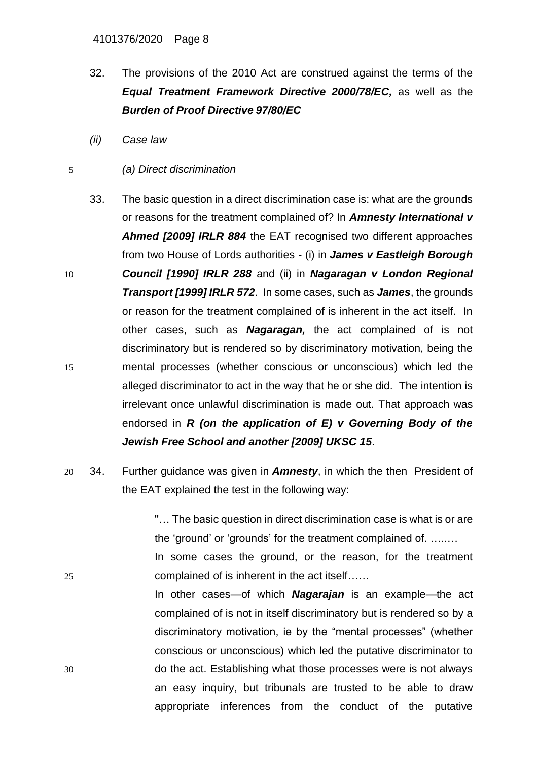- 32. The provisions of the 2010 Act are construed against the terms of the *Equal Treatment Framework Directive 2000/78/EC,* as well as the *Burden of Proof Directive 97/80/EC*
- *(ii) Case law*
- 5 *(a) Direct discrimination*
- 33. The basic question in a direct discrimination case is: what are the grounds or reasons for the treatment complained of? In *Amnesty International v Ahmed [2009] IRLR 884* the EAT recognised two different approaches from two House of Lords authorities - (i) in *James v Eastleigh Borough*  10 *Council [1990] IRLR 288* and (ii) in *Nagaragan v London Regional Transport [1999] IRLR 572*. In some cases, such as *James*, the grounds or reason for the treatment complained of is inherent in the act itself. In other cases, such as *Nagaragan,* the act complained of is not discriminatory but is rendered so by discriminatory motivation, being the 15 mental processes (whether conscious or unconscious) which led the alleged discriminator to act in the way that he or she did. The intention is irrelevant once unlawful discrimination is made out. That approach was endorsed in *R (on the application of E) v Governing Body of the Jewish Free School and another [2009] UKSC 15*.
- 20 34. Further guidance was given in *Amnesty*, in which the then President of the EAT explained the test in the following way:

''… The basic question in direct discrimination case is what is or are the 'ground' or 'grounds' for the treatment complained of. …..…

In some cases the ground, or the reason, for the treatment 25 complained of is inherent in the act itself……

In other cases—of which *Nagarajan* is an example—the act complained of is not in itself discriminatory but is rendered so by a discriminatory motivation, ie by the "mental processes" (whether conscious or unconscious) which led the putative discriminator to 30 do the act. Establishing what those processes were is not always an easy inquiry, but tribunals are trusted to be able to draw appropriate inferences from the conduct of the putative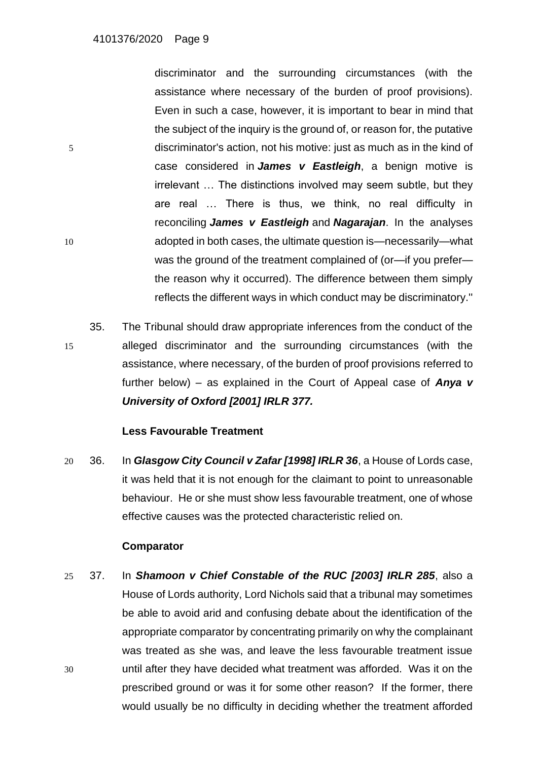discriminator and the surrounding circumstances (with the assistance where necessary of the burden of proof provisions). Even in such a case, however, it is important to bear in mind that the subject of the inquiry is the ground of, or reason for, the putative 5 discriminator's action, not his motive: just as much as in the kind of case considered in *James v Eastleigh*, a benign motive is irrelevant … The distinctions involved may seem subtle, but they are real … There is thus, we think, no real difficulty in reconciling *James v Eastleigh* and *Nagarajan*. In the analyses 10 adopted in both cases, the ultimate question is—necessarily—what was the ground of the treatment complained of (or—if you prefer the reason why it occurred). The difference between them simply reflects the different ways in which conduct may be discriminatory.''

35. The Tribunal should draw appropriate inferences from the conduct of the 15 alleged discriminator and the surrounding circumstances (with the assistance, where necessary, of the burden of proof provisions referred to further below) – as explained in the Court of Appeal case of *Anya v University of Oxford [2001] IRLR 377.*

## **Less Favourable Treatment**

20 36. In *Glasgow City Council v Zafar [1998] IRLR 36*, a House of Lords case, it was held that it is not enough for the claimant to point to unreasonable behaviour. He or she must show less favourable treatment, one of whose effective causes was the protected characteristic relied on.

## **Comparator**

25 37. In *Shamoon v Chief Constable of the RUC [2003] IRLR 285*, also a House of Lords authority, Lord Nichols said that a tribunal may sometimes be able to avoid arid and confusing debate about the identification of the appropriate comparator by concentrating primarily on why the complainant was treated as she was, and leave the less favourable treatment issue 30 until after they have decided what treatment was afforded. Was it on the prescribed ground or was it for some other reason? If the former, there would usually be no difficulty in deciding whether the treatment afforded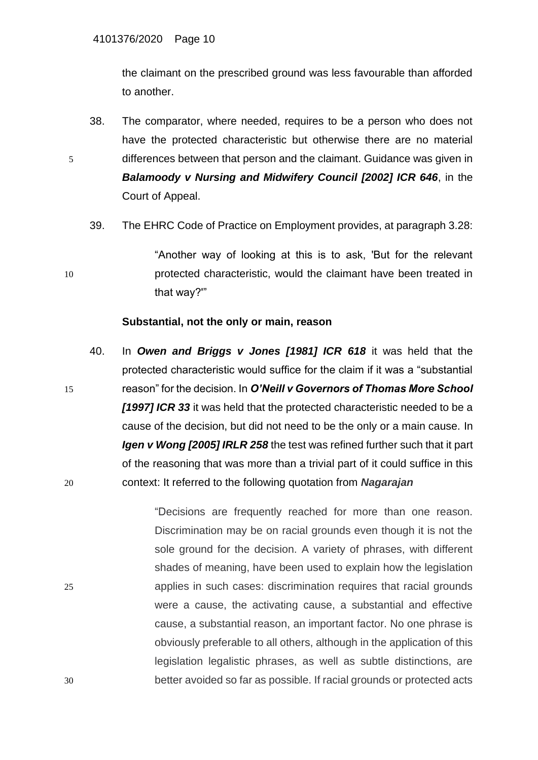the claimant on the prescribed ground was less favourable than afforded to another.

- 38. The comparator, where needed, requires to be a person who does not have the protected characteristic but otherwise there are no material 5 differences between that person and the claimant. Guidance was given in *Balamoody v Nursing and Midwifery Council [2002] ICR 646*, in the Court of Appeal.
	- 39. The EHRC Code of Practice on Employment provides, at paragraph 3.28:

"Another way of looking at this is to ask, 'But for the relevant 10 protected characteristic, would the claimant have been treated in that way?'"

## **Substantial, not the only or main, reason**

40. In *Owen and Briggs v Jones [1981] ICR 618* it was held that the protected characteristic would suffice for the claim if it was a "substantial 15 reason" for the decision. In *O'Neill v Governors of Thomas More School [1997] ICR 33* it was held that the protected characteristic needed to be a cause of the decision, but did not need to be the only or a main cause. In *Igen v Wong [2005] IRLR 258* the test was refined further such that it part of the reasoning that was more than a trivial part of it could suffice in this 20 context: It referred to the following quotation from *Nagarajan*

"Decisions are frequently reached for more than one reason. Discrimination may be on racial grounds even though it is not the sole ground for the decision. A variety of phrases, with different shades of meaning, have been used to explain how the legislation 25 applies in such cases: discrimination requires that racial grounds were a cause, the activating cause, a substantial and effective cause, a substantial reason, an important factor. No one phrase is obviously preferable to all others, although in the application of this legislation legalistic phrases, as well as subtle distinctions, are 30 better avoided so far as possible. If racial grounds or protected acts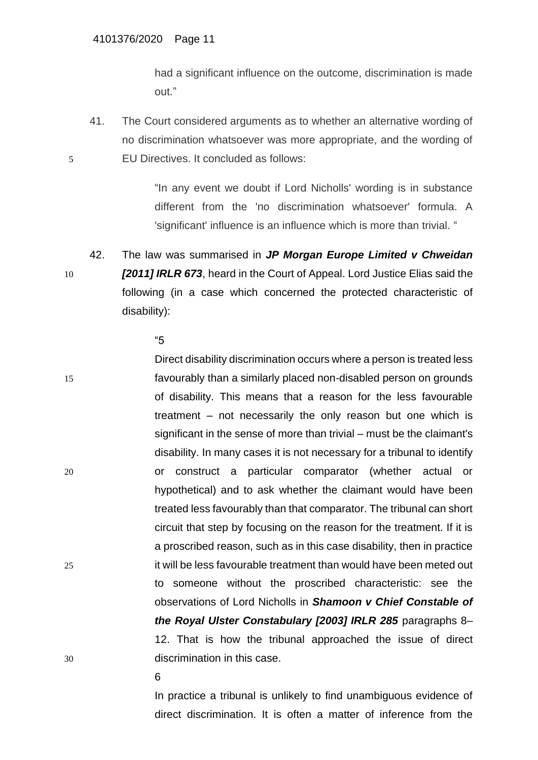had a significant influence on the outcome, discrimination is made out."

41. The Court considered arguments as to whether an alternative wording of no discrimination whatsoever was more appropriate, and the wording of 5 EU Directives. It concluded as follows:

> "In any event we doubt if Lord Nicholls' wording is in substance different from the 'no discrimination whatsoever' formula. A 'significant' influence is an influence which is more than trivial. "

42. The law was summarised in *JP Morgan Europe Limited v Chweidan*  10 *[2011] IRLR 673*, heard in the Court of Appeal. Lord Justice Elias said the following (in a case which concerned the protected characteristic of disability):

"5

Direct disability discrimination occurs where a person is treated less 15 favourably than a similarly placed non-disabled person on grounds of disability. This means that a reason for the less favourable treatment – not necessarily the only reason but one which is significant in the sense of more than trivial – must be the claimant's disability. In many cases it is not necessary for a tribunal to identify 20 or construct a particular comparator (whether actual or hypothetical) and to ask whether the claimant would have been treated less favourably than that comparator. The tribunal can short circuit that step by focusing on the reason for the treatment. If it is a proscribed reason, such as in this case disability, then in practice 25 it will be less favourable treatment than would have been meted out to someone without the proscribed characteristic: see the observations of Lord Nicholls in *Shamoon v Chief Constable of the Royal Ulster Constabulary [2003] IRLR 285* paragraphs 8– 12. That is how the tribunal approached the issue of direct 30 discrimination in this case.

6

In practice a tribunal is unlikely to find unambiguous evidence of direct discrimination. It is often a matter of inference from the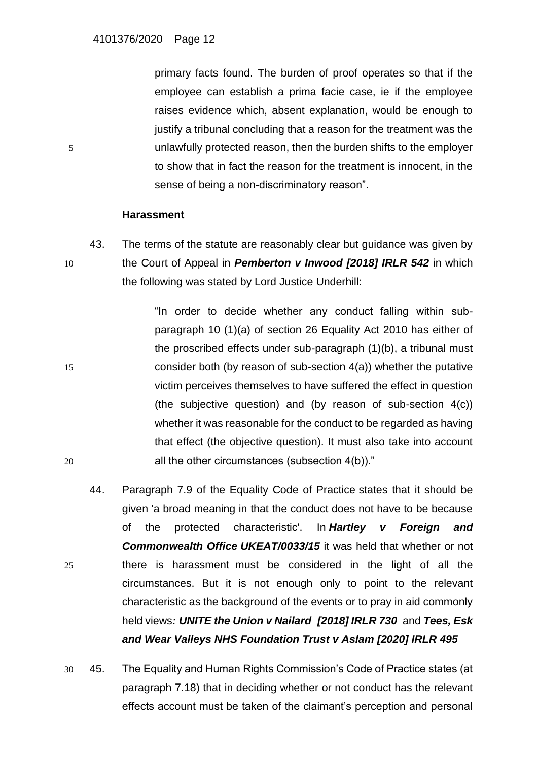primary facts found. The burden of proof operates so that if the employee can establish a prima facie case, ie if the employee raises evidence which, absent explanation, would be enough to justify a tribunal concluding that a reason for the treatment was the 5 unlawfully protected reason, then the burden shifts to the employer to show that in fact the reason for the treatment is innocent, in the sense of being a non-discriminatory reason".

#### **Harassment**

43. The terms of the statute are reasonably clear but guidance was given by 10 the Court of Appeal in *Pemberton v Inwood [2018] IRLR 542* in which the following was stated by Lord Justice Underhill:

"In order to decide whether any conduct falling within subparagraph 10 (1)(a) of section 26 Equality Act 2010 has either of the proscribed effects under sub-paragraph (1)(b), a tribunal must 15 consider both (by reason of sub-section 4(a)) whether the putative victim perceives themselves to have suffered the effect in question (the subjective question) and (by reason of sub-section 4(c)) whether it was reasonable for the conduct to be regarded as having that effect (the objective question). It must also take into account 20 all the other circumstances (subsection 4(b))."

- 44. Paragraph 7.9 of the Equality Code of Practice states that it should be given 'a broad meaning in that the conduct does not have to be because of the protected characteristic'. In *Hartley v Foreign and Commonwealth Office [UKEAT/0033/15](https://www.lexisnexis.com/uk/legal/search/enhRunRemoteLink.do?linkInfo=F%23GB%23UKEAT%23sel1%2515%25year%2515%25page%250033%25&A=0.8101042547561379&backKey=20_T87717489&service=citation&ersKey=23_T87717470&langcountry=GB)* it was held that whether or not 25 there is harassment must be considered in the light of all the circumstances. But it is not enough only to point to the relevant characteristic as the background of the events or to pray in aid commonly held views*: UNITE the Union v Nailard [\[2018\]](https://www.lexisnexis.com/uk/legal/search/enhRunRemoteLink.do?linkInfo=F%23GB%23IRLR%23sel1%252018%25year%252018%25page%25730%25&A=0.883587768521677&backKey=20_T87717489&service=citation&ersKey=23_T87717470&langcountry=GB) IRLR 730* and *Tees, Esk and Wear Valleys NHS Foundation Trust v Aslam [\[2020\]](https://www.lexisnexis.com/uk/legal/search/enhRunRemoteLink.do?linkInfo=F%23GB%23IRLR%23sel1%252020%25year%252020%25page%25495%25&A=0.3233375283780515&backKey=20_T87717489&service=citation&ersKey=23_T87717470&langcountry=GB) IRLR 495*
- 30 45. The Equality and Human Rights Commission's Code of Practice states (at paragraph 7.18) that in deciding whether or not conduct has the relevant effects account must be taken of the claimant's perception and personal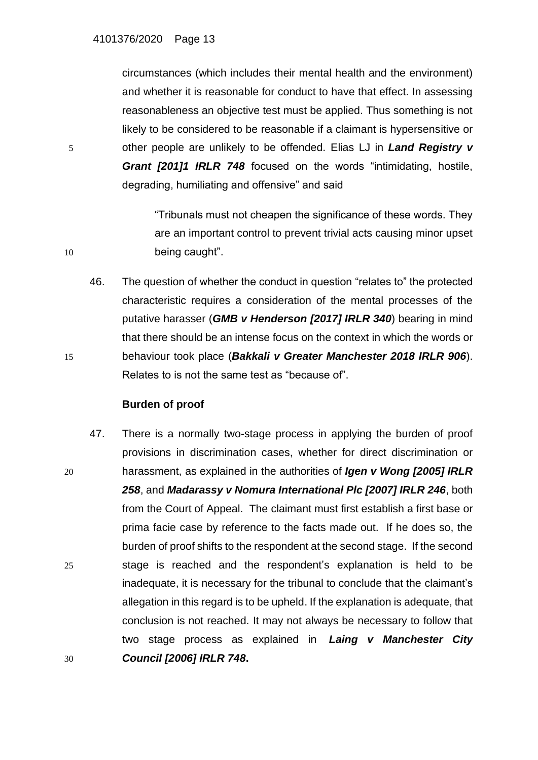circumstances (which includes their mental health and the environment) and whether it is reasonable for conduct to have that effect. In assessing reasonableness an objective test must be applied. Thus something is not likely to be considered to be reasonable if a claimant is hypersensitive or 5 other people are unlikely to be offended. Elias LJ in *Land Registry v Grant [201]1 IRLR 748* focused on the words "intimidating, hostile, degrading, humiliating and offensive" and said

"Tribunals must not cheapen the significance of these words. They are an important control to prevent trivial acts causing minor upset 10 being caught".

46. The question of whether the conduct in question "relates to" the protected characteristic requires a consideration of the mental processes of the putative harasser (*GMB v Henderson [2017] IRLR 340*) bearing in mind that there should be an intense focus on the context in which the words or 15 behaviour took place (*Bakkali v Greater Manchester 2018 IRLR 906*). Relates to is not the same test as "because of".

## **Burden of proof**

47. There is a normally two-stage process in applying the burden of proof provisions in discrimination cases, whether for direct discrimination or 20 harassment, as explained in the authorities of *Igen v Wong [2005] IRLR 258*, and *Madarassy v Nomura International Plc [2007] IRLR 246*, both from the Court of Appeal. The claimant must first establish a first base or prima facie case by reference to the facts made out. If he does so, the burden of proof shifts to the respondent at the second stage. If the second 25 stage is reached and the respondent's explanation is held to be inadequate, it is necessary for the tribunal to conclude that the claimant's allegation in this regard is to be upheld. If the explanation is adequate, that conclusion is not reached. It may not always be necessary to follow that two stage process as explained in *Laing v Manchester City* 30 *Council [\[2006\]](https://www.lexisnexis.com/uk/legal/search/enhRunRemoteLink.do?linkInfo=F%23GB%23IRLR%23sel1%252006%25year%252006%25page%25748%25&A=0.34491192605275645&backKey=20_T234329915&service=citation&ersKey=23_T234329382&langcountry=GB) IRLR 748***.**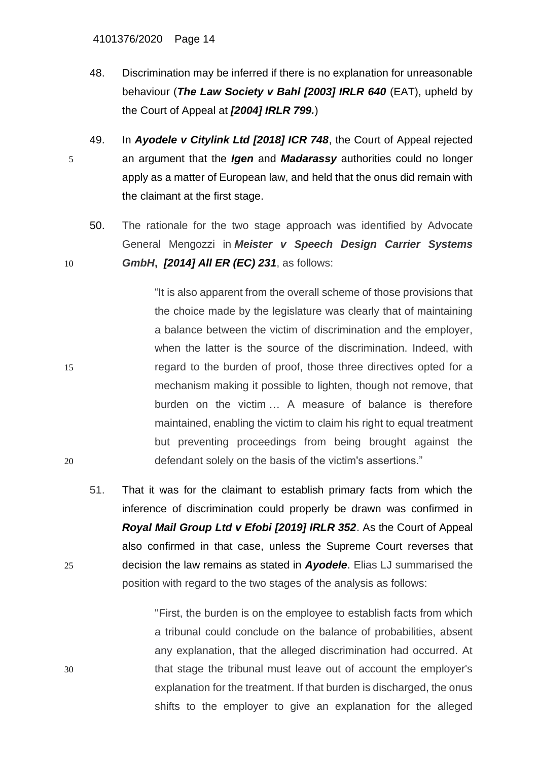- 48. Discrimination may be inferred if there is no explanation for unreasonable behaviour (*The Law Society v Bahl [2003] IRLR 640* (EAT), upheld by the Court of Appeal at *[2004] IRLR 799.*)
- 49. In *Ayodele v Citylink Ltd [2018] ICR 748*, the Court of Appeal rejected 5 an argument that the *Igen* and *Madarassy* authorities could no longer apply as a matter of European law, and held that the onus did remain with the claimant at the first stage.
- 50. The rationale for the two stage approach was identified by Advocate General Mengozzi in *Meister v Speech Design Carrier Systems* 10 *GmbH***,** *[\[2014\] All ER \(EC\) 231](https://www.lexisnexis.com/uk/legal/search/enhRunRemoteLink.do?linkInfo=F%23GB%23ALLEREC%23sel1%252014%25year%252014%25page%25231%25&A=0.9614652536344581&backKey=20_T230856643&service=citation&ersKey=23_T230856636&langcountry=GB)*, as follows:

"It is also apparent from the overall scheme of those provisions that the choice made by the legislature was clearly that of maintaining a balance between the victim of discrimination and the employer, when the latter is the source of the discrimination. Indeed, with 15 regard to the burden of proof, those three directives opted for a mechanism making it possible to lighten, though not remove, that burden on the victim … A measure of balance is therefore maintained, enabling the victim to claim his right to equal treatment but preventing proceedings from being brought against the 20 defendant solely on the basis of the victim's assertions."

51. That it was for the claimant to establish primary facts from which the inference of discrimination could properly be drawn was confirmed in *Royal Mail Group Ltd v Efobi [2019] IRLR 352*. As the Court of Appeal also confirmed in that case, unless the Supreme Court reverses that 25 decision the law remains as stated in *Ayodele*. Elias LJ summarised the position with regard to the two stages of the analysis as follows:

''First, the burden is on the employee to establish facts from which a tribunal could conclude on the balance of probabilities, absent any explanation, that the alleged discrimination had occurred. At 30 that stage the tribunal must leave out of account the employer's explanation for the treatment. If that burden is discharged, the onus shifts to the employer to give an explanation for the alleged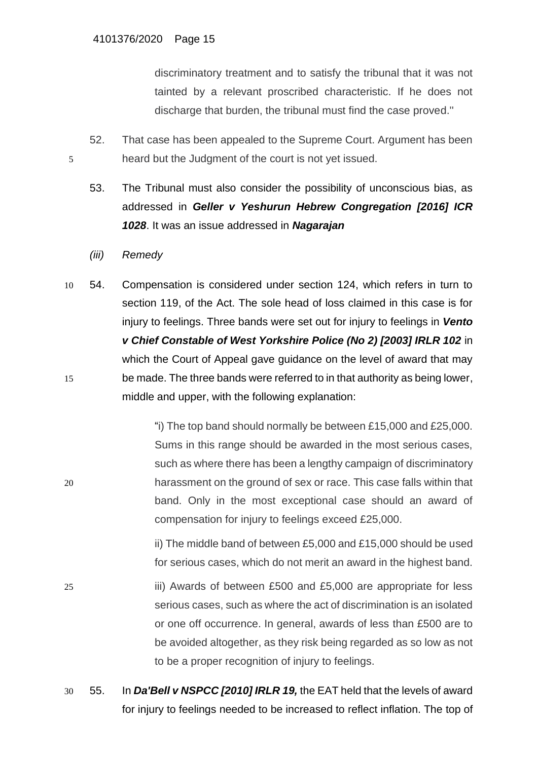discriminatory treatment and to satisfy the tribunal that it was not tainted by a relevant proscribed characteristic. If he does not discharge that burden, the tribunal must find the case proved.''

- 52. That case has been appealed to the Supreme Court. Argument has been 5 heard but the Judgment of the court is not yet issued.
	- 53. The Tribunal must also consider the possibility of unconscious bias, as addressed in *Geller v Yeshurun Hebrew Congregation [2016] ICR 1028*. It was an issue addressed in *Nagarajan*
	- *(iii) Remedy*
- 10 54. Compensation is considered under section 124, which refers in turn to section 119, of the Act. The sole head of loss claimed in this case is for injury to feelings. Three bands were set out for injury to feelings in *Vento v Chief Constable of West Yorkshire Police (No 2) [2003] IRLR 102* in which the Court of Appeal gave guidance on the level of award that may 15 be made. The three bands were referred to in that authority as being lower, middle and upper, with the following explanation:

"i) The top band should normally be between £15,000 and £25,000. Sums in this range should be awarded in the most serious cases, such as where there has been a lengthy campaign of discriminatory 20 harassment on the ground of sex or race. This case falls within that band. Only in the most exceptional case should an award of compensation for injury to feelings exceed £25,000.

> ii) The middle band of between £5,000 and £15,000 should be used for serious cases, which do not merit an award in the highest band.

- 25 iii) Awards of between £500 and £5,000 are appropriate for less serious cases, such as where the act of discrimination is an isolated or one off occurrence. In general, awards of less than £500 are to be avoided altogether, as they risk being regarded as so low as not to be a proper recognition of injury to feelings.
- 30 55. In *Da'Bell v NSPCC [2010] IRLR 19,* the EAT held that the levels of award for injury to feelings needed to be increased to reflect inflation. The top of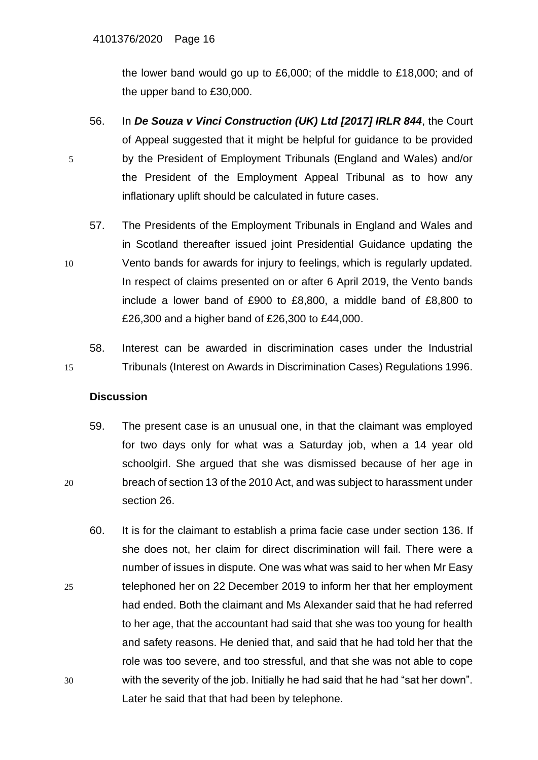the lower band would go up to £6,000; of the middle to £18,000; and of the upper band to £30,000.

- 56. In *De Souza v Vinci Construction (UK) Ltd [2017] IRLR 844*, the Court of Appeal suggested that it might be helpful for guidance to be provided 5 by the President of Employment Tribunals (England and Wales) and/or the President of the Employment Appeal Tribunal as to how any inflationary uplift should be calculated in future cases.
- 57. The Presidents of the Employment Tribunals in England and Wales and in Scotland thereafter issued joint Presidential Guidance updating the 10 Vento bands for awards for injury to feelings, which is regularly updated. In respect of claims presented on or after 6 April 2019, the Vento bands include a lower band of £900 to £8,800, a middle band of £8,800 to £26,300 and a higher band of £26,300 to £44,000.
- 58. Interest can be awarded in discrimination cases under the Industrial 15 Tribunals (Interest on Awards in Discrimination Cases) Regulations 1996.

## **Discussion**

- 59. The present case is an unusual one, in that the claimant was employed for two days only for what was a Saturday job, when a 14 year old schoolgirl. She argued that she was dismissed because of her age in 20 breach of section 13 of the 2010 Act, and was subject to harassment under section 26.
- 60. It is for the claimant to establish a prima facie case under section 136. If she does not, her claim for direct discrimination will fail. There were a number of issues in dispute. One was what was said to her when Mr Easy 25 telephoned her on 22 December 2019 to inform her that her employment had ended. Both the claimant and Ms Alexander said that he had referred to her age, that the accountant had said that she was too young for health and safety reasons. He denied that, and said that he had told her that the role was too severe, and too stressful, and that she was not able to cope 30 with the severity of the job. Initially he had said that he had "sat her down". Later he said that that had been by telephone.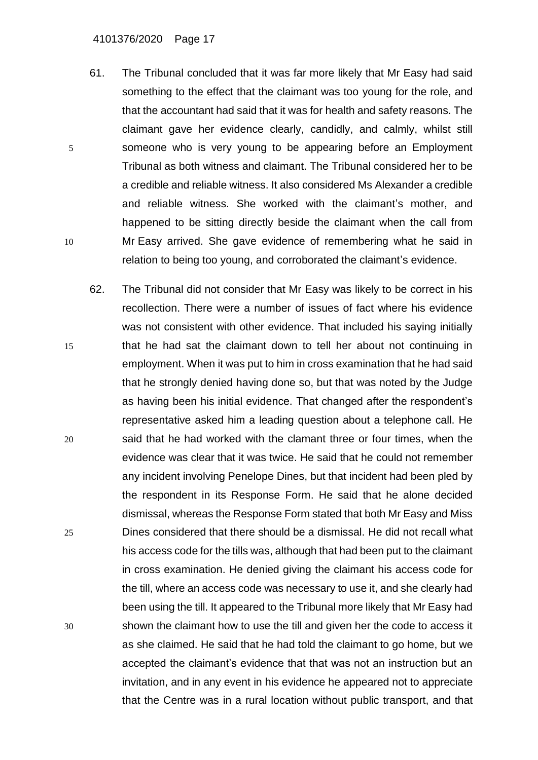#### 4101376/2020 Page 17

- 61. The Tribunal concluded that it was far more likely that Mr Easy had said something to the effect that the claimant was too young for the role, and that the accountant had said that it was for health and safety reasons. The claimant gave her evidence clearly, candidly, and calmly, whilst still 5 someone who is very young to be appearing before an Employment Tribunal as both witness and claimant. The Tribunal considered her to be a credible and reliable witness. It also considered Ms Alexander a credible and reliable witness. She worked with the claimant's mother, and happened to be sitting directly beside the claimant when the call from 10 Mr Easy arrived. She gave evidence of remembering what he said in relation to being too young, and corroborated the claimant's evidence.
- 62. The Tribunal did not consider that Mr Easy was likely to be correct in his recollection. There were a number of issues of fact where his evidence was not consistent with other evidence. That included his saying initially 15 that he had sat the claimant down to tell her about not continuing in employment. When it was put to him in cross examination that he had said that he strongly denied having done so, but that was noted by the Judge as having been his initial evidence. That changed after the respondent's representative asked him a leading question about a telephone call. He 20 said that he had worked with the clamant three or four times, when the evidence was clear that it was twice. He said that he could not remember any incident involving Penelope Dines, but that incident had been pled by the respondent in its Response Form. He said that he alone decided dismissal, whereas the Response Form stated that both Mr Easy and Miss 25 Dines considered that there should be a dismissal. He did not recall what his access code for the tills was, although that had been put to the claimant in cross examination. He denied giving the claimant his access code for the till, where an access code was necessary to use it, and she clearly had been using the till. It appeared to the Tribunal more likely that Mr Easy had 30 shown the claimant how to use the till and given her the code to access it as she claimed. He said that he had told the claimant to go home, but we accepted the claimant's evidence that that was not an instruction but an invitation, and in any event in his evidence he appeared not to appreciate that the Centre was in a rural location without public transport, and that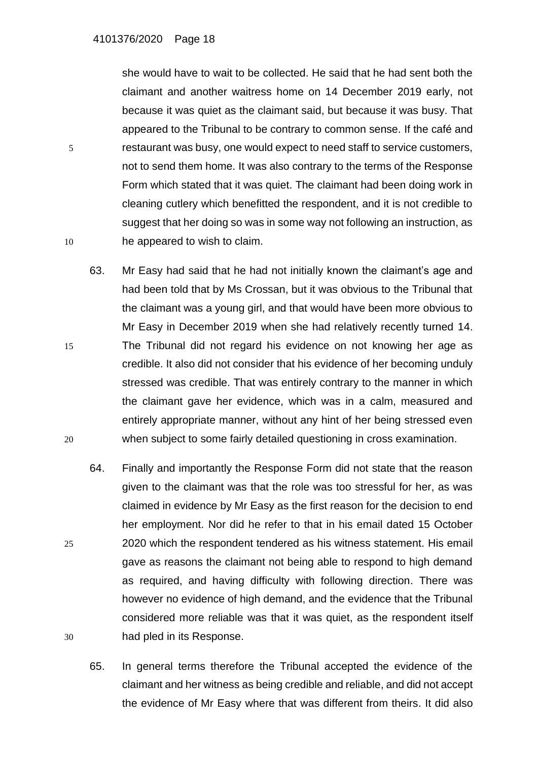she would have to wait to be collected. He said that he had sent both the claimant and another waitress home on 14 December 2019 early, not because it was quiet as the claimant said, but because it was busy. That appeared to the Tribunal to be contrary to common sense. If the café and 5 restaurant was busy, one would expect to need staff to service customers, not to send them home. It was also contrary to the terms of the Response Form which stated that it was quiet. The claimant had been doing work in cleaning cutlery which benefitted the respondent, and it is not credible to suggest that her doing so was in some way not following an instruction, as 10 he appeared to wish to claim.

- 63. Mr Easy had said that he had not initially known the claimant's age and had been told that by Ms Crossan, but it was obvious to the Tribunal that the claimant was a young girl, and that would have been more obvious to Mr Easy in December 2019 when she had relatively recently turned 14. 15 The Tribunal did not regard his evidence on not knowing her age as credible. It also did not consider that his evidence of her becoming unduly stressed was credible. That was entirely contrary to the manner in which the claimant gave her evidence, which was in a calm, measured and entirely appropriate manner, without any hint of her being stressed even 20 when subject to some fairly detailed questioning in cross examination.
- 64. Finally and importantly the Response Form did not state that the reason given to the claimant was that the role was too stressful for her, as was claimed in evidence by Mr Easy as the first reason for the decision to end her employment. Nor did he refer to that in his email dated 15 October 25 2020 which the respondent tendered as his witness statement. His email gave as reasons the claimant not being able to respond to high demand as required, and having difficulty with following direction. There was however no evidence of high demand, and the evidence that the Tribunal considered more reliable was that it was quiet, as the respondent itself 30 had pled in its Response.
	- 65. In general terms therefore the Tribunal accepted the evidence of the claimant and her witness as being credible and reliable, and did not accept the evidence of Mr Easy where that was different from theirs. It did also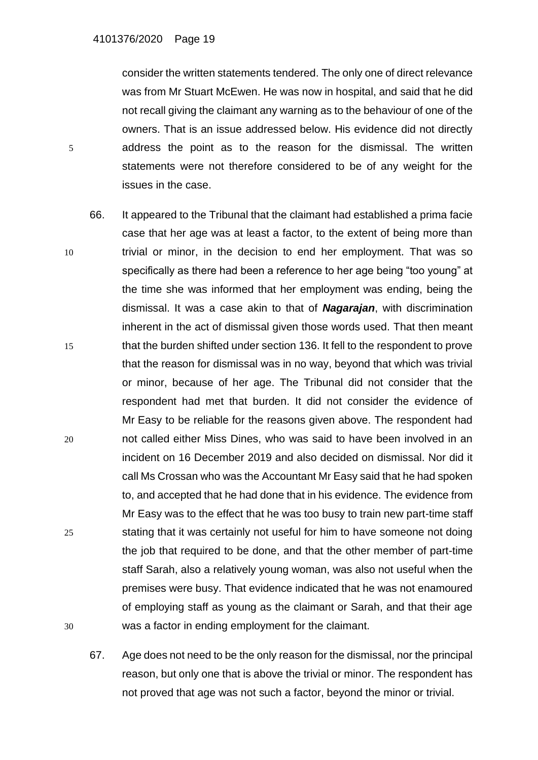consider the written statements tendered. The only one of direct relevance was from Mr Stuart McEwen. He was now in hospital, and said that he did not recall giving the claimant any warning as to the behaviour of one of the owners. That is an issue addressed below. His evidence did not directly 5 address the point as to the reason for the dismissal. The written statements were not therefore considered to be of any weight for the issues in the case.

- 66. It appeared to the Tribunal that the claimant had established a prima facie case that her age was at least a factor, to the extent of being more than 10 trivial or minor, in the decision to end her employment. That was so specifically as there had been a reference to her age being "too young" at the time she was informed that her employment was ending, being the dismissal. It was a case akin to that of *Nagarajan*, with discrimination inherent in the act of dismissal given those words used. That then meant 15 that the burden shifted under section 136. It fell to the respondent to prove that the reason for dismissal was in no way, beyond that which was trivial or minor, because of her age. The Tribunal did not consider that the respondent had met that burden. It did not consider the evidence of Mr Easy to be reliable for the reasons given above. The respondent had 20 not called either Miss Dines, who was said to have been involved in an incident on 16 December 2019 and also decided on dismissal. Nor did it call Ms Crossan who was the Accountant Mr Easy said that he had spoken to, and accepted that he had done that in his evidence. The evidence from Mr Easy was to the effect that he was too busy to train new part-time staff 25 stating that it was certainly not useful for him to have someone not doing the job that required to be done, and that the other member of part-time staff Sarah, also a relatively young woman, was also not useful when the premises were busy. That evidence indicated that he was not enamoured of employing staff as young as the claimant or Sarah, and that their age 30 was a factor in ending employment for the claimant.
	- 67. Age does not need to be the only reason for the dismissal, nor the principal reason, but only one that is above the trivial or minor. The respondent has not proved that age was not such a factor, beyond the minor or trivial.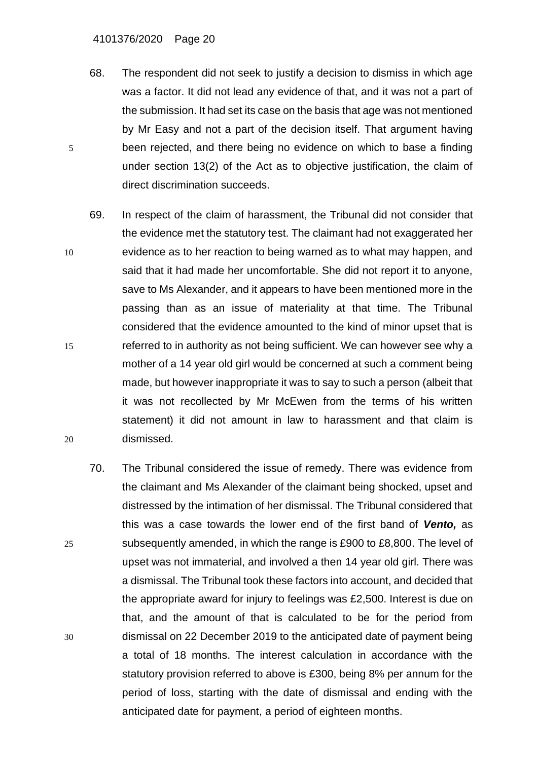- 68. The respondent did not seek to justify a decision to dismiss in which age was a factor. It did not lead any evidence of that, and it was not a part of the submission. It had set its case on the basis that age was not mentioned by Mr Easy and not a part of the decision itself. That argument having 5 been rejected, and there being no evidence on which to base a finding under section 13(2) of the Act as to objective justification, the claim of direct discrimination succeeds.
- 69. In respect of the claim of harassment, the Tribunal did not consider that the evidence met the statutory test. The claimant had not exaggerated her 10 evidence as to her reaction to being warned as to what may happen, and said that it had made her uncomfortable. She did not report it to anyone, save to Ms Alexander, and it appears to have been mentioned more in the passing than as an issue of materiality at that time. The Tribunal considered that the evidence amounted to the kind of minor upset that is 15 referred to in authority as not being sufficient. We can however see why a mother of a 14 year old girl would be concerned at such a comment being made, but however inappropriate it was to say to such a person (albeit that it was not recollected by Mr McEwen from the terms of his written statement) it did not amount in law to harassment and that claim is 20 dismissed.
- 70. The Tribunal considered the issue of remedy. There was evidence from the claimant and Ms Alexander of the claimant being shocked, upset and distressed by the intimation of her dismissal. The Tribunal considered that this was a case towards the lower end of the first band of *Vento,* as 25 subsequently amended, in which the range is £900 to £8,800. The level of upset was not immaterial, and involved a then 14 year old girl. There was a dismissal. The Tribunal took these factors into account, and decided that the appropriate award for injury to feelings was £2,500. Interest is due on that, and the amount of that is calculated to be for the period from 30 dismissal on 22 December 2019 to the anticipated date of payment being a total of 18 months. The interest calculation in accordance with the statutory provision referred to above is £300, being 8% per annum for the period of loss, starting with the date of dismissal and ending with the anticipated date for payment, a period of eighteen months.